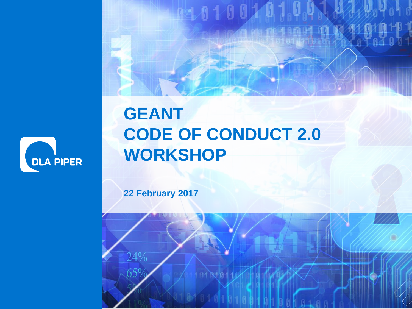

#### **GEANT CODE OF CONDUCT 2.0 WORKSHOP**

201002

ww.dlapiper.com 22 February 2017 02:20 February 2017 12 February 2017 12 February 2017 12 February 2017 12 Feb

**22 February 2017**

24%

 $65%$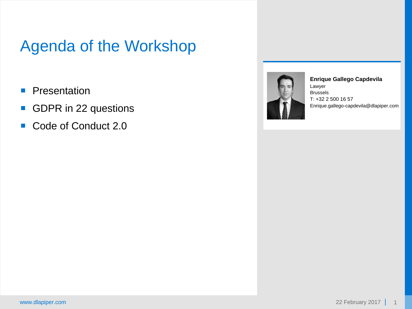#### Agenda of the Workshop

- **Presentation**
- GDPR in 22 questions
- Code of Conduct 2.0



**Enrique Gallego Capdevila** Lawyer Brussels T: +32 2 500 16 57 Enrique.gallego-capdevila@dlapiper.com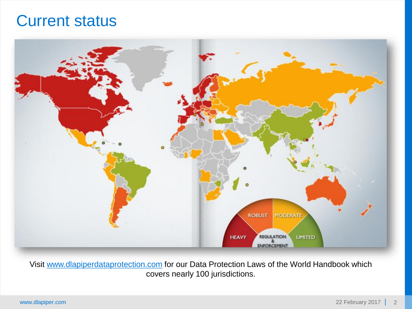#### Current status



Visit [www.dlapiperdataprotection.com](http://www.dlapiperdataprotection.com/) for our Data Protection Laws of the World Handbook which covers nearly 100 jurisdictions.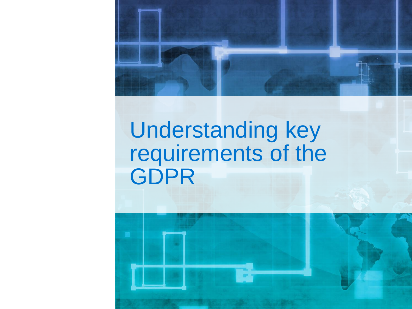

## Understanding key requirements of the GDPR

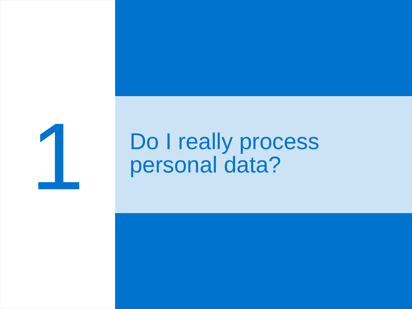

## Do I really process personal data?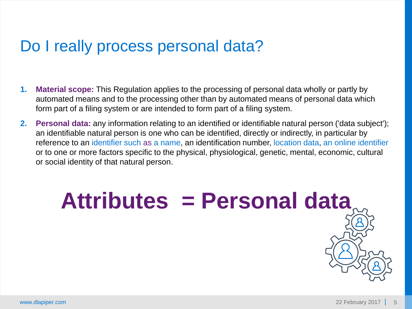#### Do I really process personal data?

- **1. Material scope:** This Regulation applies to the processing of personal data wholly or partly by automated means and to the processing other than by automated means of personal data which form part of a filing system or are intended to form part of a filing system.
- **2. Personal data:** any information relating to an identified or identifiable natural person ('data subject'); an identifiable natural person is one who can be identified, directly or indirectly, in particular by reference to an identifier such as a name, an identification number, location data, an online identifier or to one or more factors specific to the physical, physiological, genetic, mental, economic, cultural or social identity of that natural person.

**Attributes = Personal data**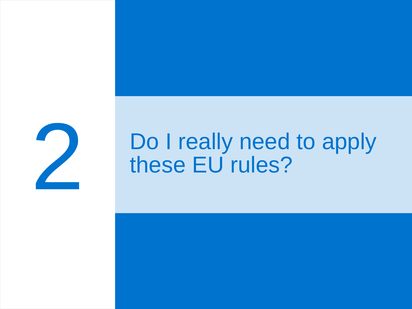

## Do I really need to apply these EU rules?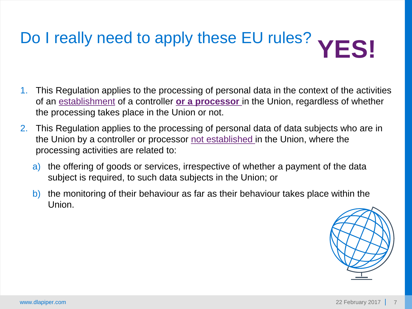# Do I really need to apply these EU rules? **YFS!**

- 1. This Regulation applies to the processing of personal data in the context of the activities of an establishment of a controller **or a processor** in the Union, regardless of whether the processing takes place in the Union or not.
- 2. This Regulation applies to the processing of personal data of data subjects who are in the Union by a controller or processor not established in the Union, where the processing activities are related to:
	- a) the offering of goods or services, irrespective of whether a payment of the data subject is required, to such data subjects in the Union; or
	- b) the monitoring of their behaviour as far as their behaviour takes place within the Union.

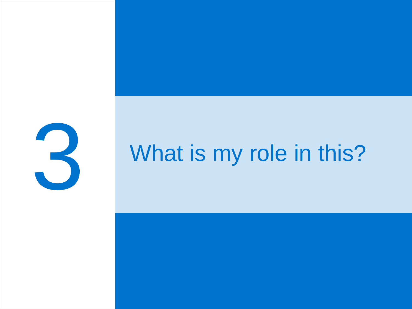

## What is my role in this?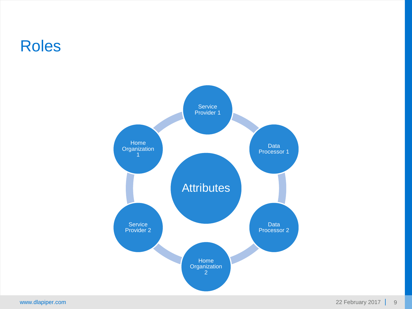#### Roles

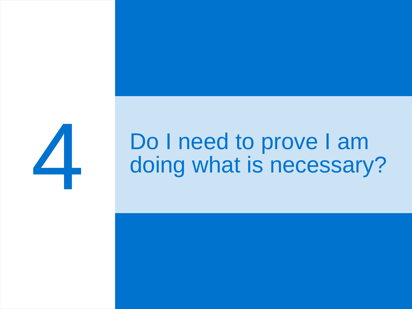

## Do I need to prove I am doing what is necessary?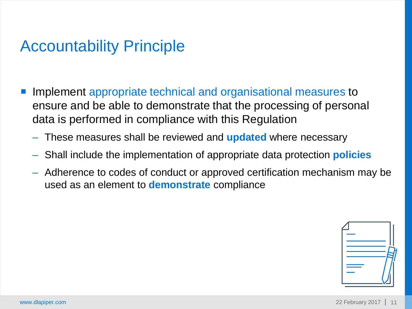#### Accountability Principle

- Implement appropriate technical and organisational measures to ensure and be able to demonstrate that the processing of personal data is performed in compliance with this Regulation
	- These measures shall be reviewed and **updated** where necessary
	- Shall include the implementation of appropriate data protection **policies**
	- Adherence to codes of conduct or approved certification mechanism may be used as an element to **demonstrate** compliance

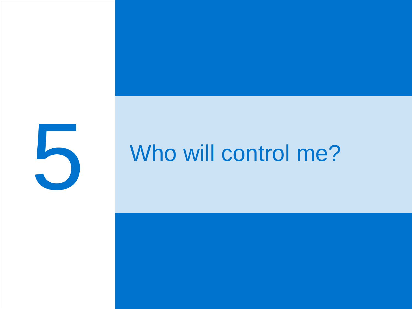

## Who will control me?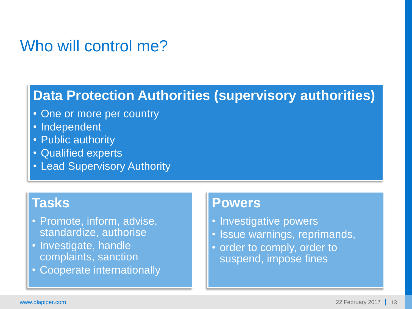#### Who will control me?

#### **Data Protection Authorities (supervisory authorities)**

- One or more per country
- Independent
- Public authority
- Qualified experts
- Lead Supervisory Authority

#### **Tasks**

- Promote, inform, advise, standardize, authorise
- Investigate, handle complaints, sanction
- Cooperate internationally

#### **Powers**

- Investigative powers
- Issue warnings, reprimands,
- order to comply, order to suspend, impose fines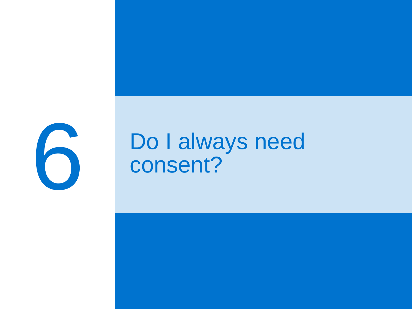

## Do I always need consent?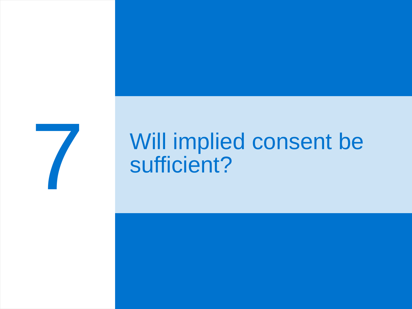

## Will implied consent be sufficient?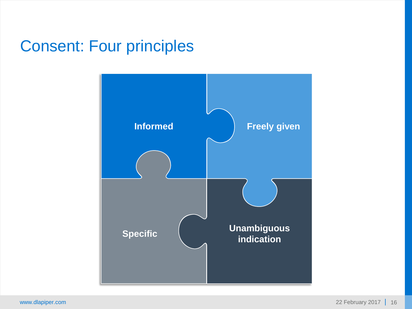#### Consent: Four principles

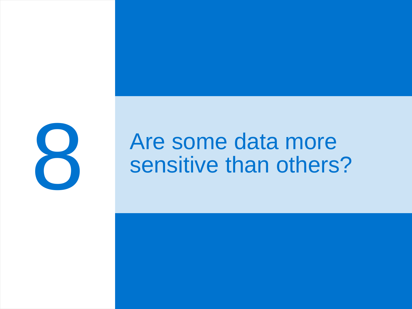

## Are some data more sensitive than others?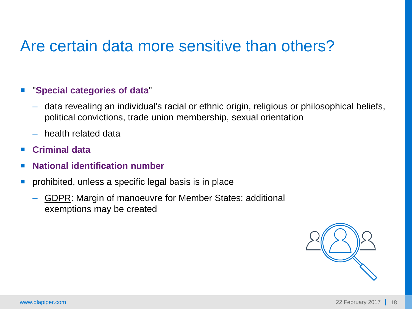#### Are certain data more sensitive than others?

#### "**Special categories of data**"

- data revealing an individual's racial or ethnic origin, religious or philosophical beliefs, political convictions, trade union membership, sexual orientation
- health related data
- **Criminal data**
- **National identification number**
- **prohibited, unless a specific legal basis is in place** 
	- GDPR: Margin of manoeuvre for Member States: additional exemptions may be created

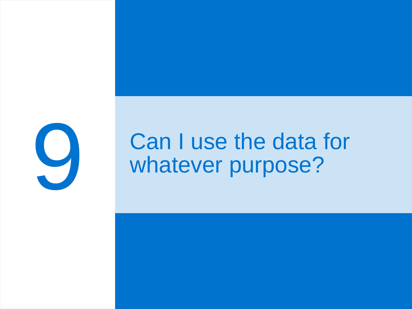

## Can I use the data for whatever purpose?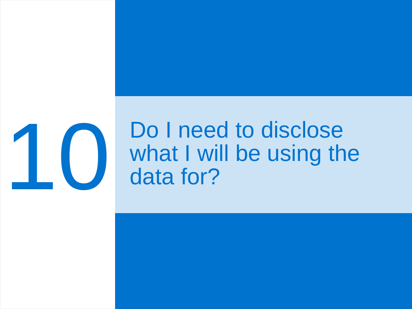

## Do I need to disclose<br>what I will be using the<br>data for? what I will be using the data for?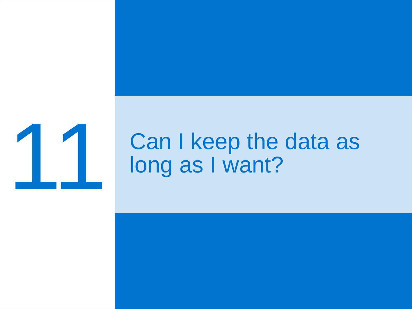

# **11 Can I keep the data as<br>long as I want?** long as I want?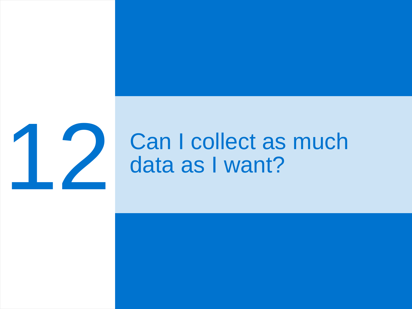

## **12 Can I collect as much<br>data as I want?** data as I want?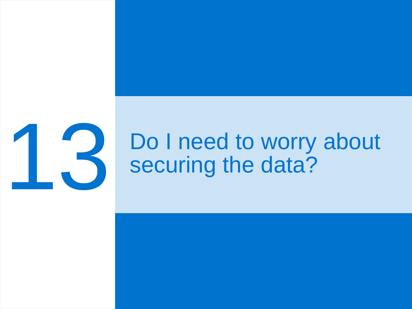

## Do I need to worry about securing the data?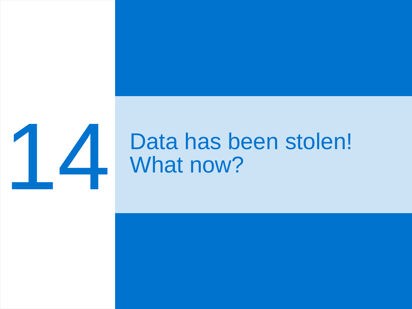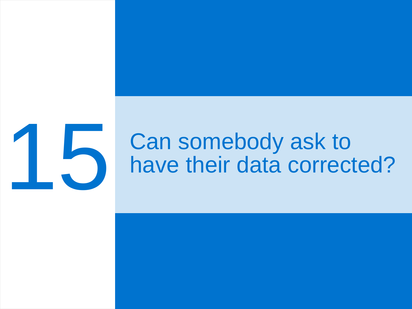

## **15 Can somebody ask to have their data correct** have their data corrected?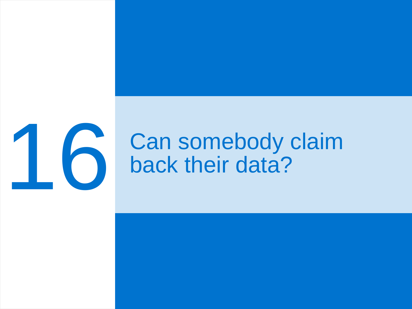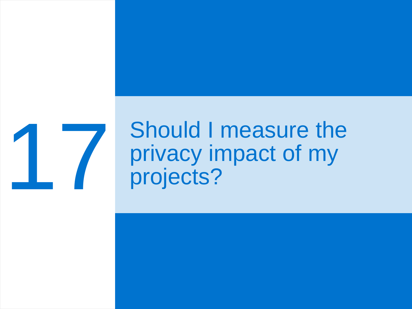

## Should I measure the<br>privacy impact of my<br>projects? privacy impact of my projects?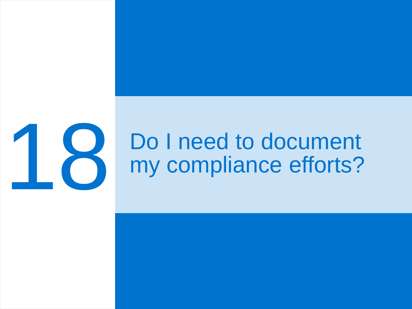

# **18 Do I need to document<br>My compliance efforts?** my compliance efforts?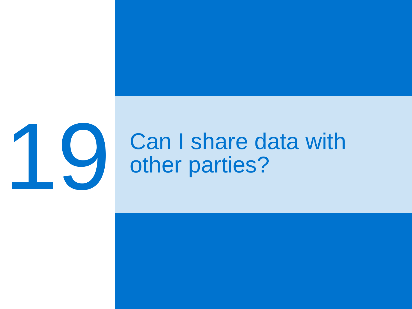

# **19 Can I share data with<br>other parties?** other parties?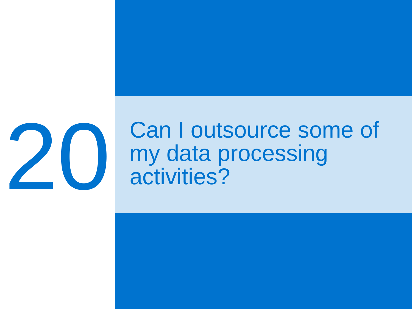

## **20 Can I outsource some of my data processing**<br>activities? my data processing activities?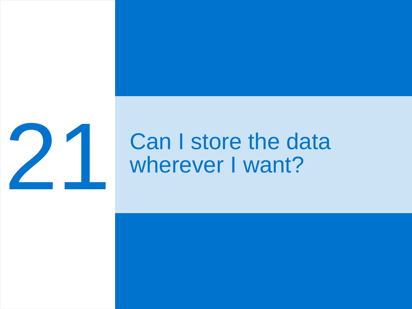

# **22 Can I store the data<br>wherever I want?** wherever I want?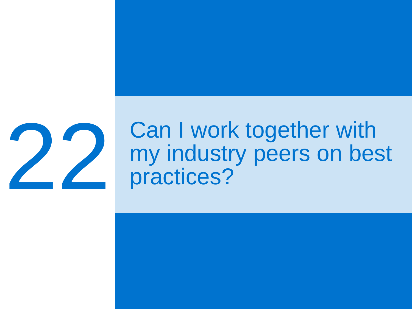

## **22 Can I work together with my industry peers on best** practices? my industry peers on best practices?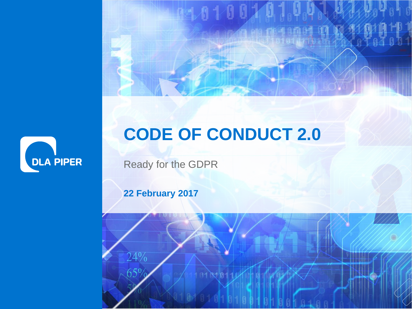

### **CODE OF CONDUCT 2.0**

ww.dlapiper.com 22 February 2017 33 February 2017 33 February 2017 33 February 2017 33 February 2017 33 February 2017 33 February 2017 33 February 2017 33 February 2017 33 February 2017 33 February 2017 33 February 2017 33

Ready for the GDPR

**22 February 2017**

24%

 $65\%$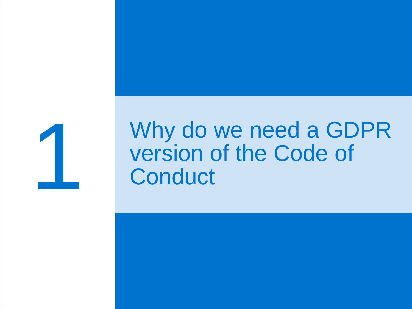

## Why do we need a GDPR version of the Code of **Conduct**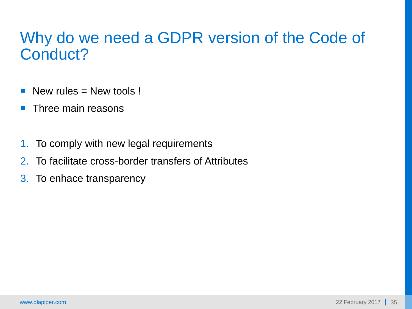#### Why do we need a GDPR version of the Code of Conduct?

- New rules  $=$  New tools !
- $\blacksquare$  Three main reasons
- 1. To comply with new legal requirements
- 2. To facilitate cross-border transfers of Attributes
- 3. To enhace transparency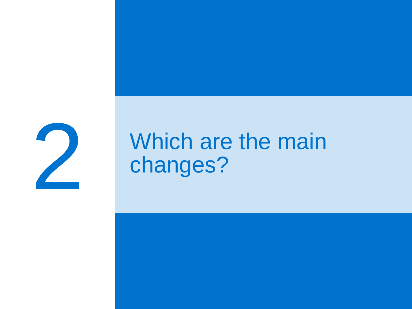

## Which are the main changes?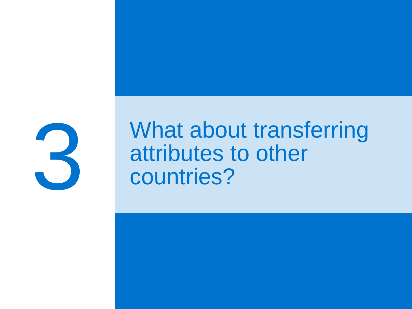

### What about transferring attributes to other countries?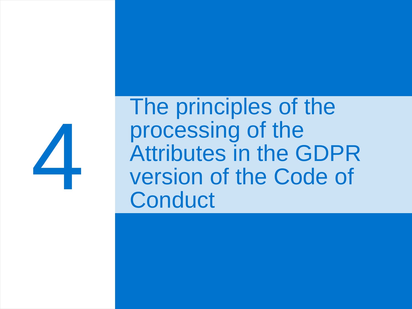

The principles of the processing of the Attributes in the GDPR version of the Code of **Conduct**